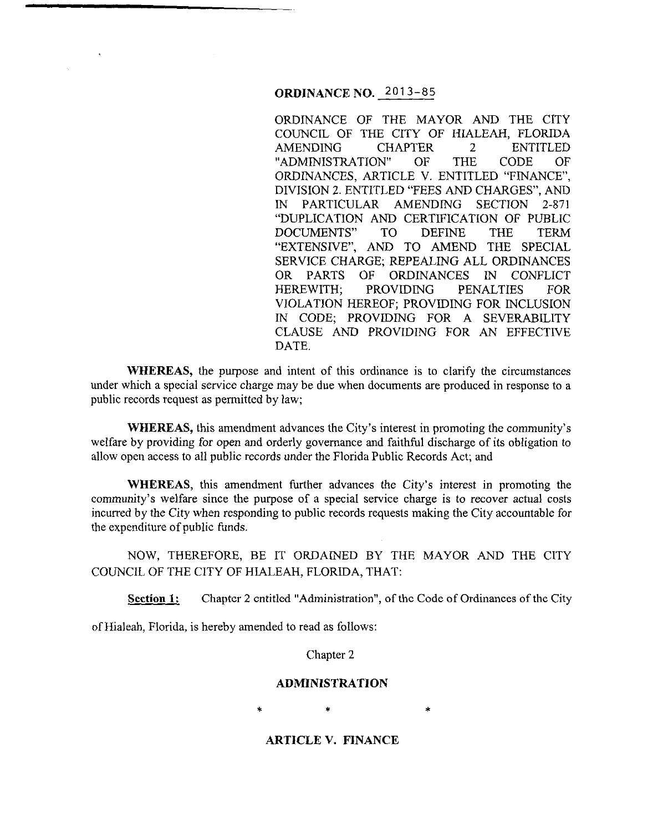## **ORDINANCE NO.** 2013-85

ORDINANCE OF THE MAYOR AND THE CITY COUNCIL OF THE CITY OF HIALEAH, FLORIDA AMENDING CHAPTER 2 ENTITLED<br>"ADMINISTRATION" OF THE CODE OF "ADMINISTRATION" OF THE CODE OF ORDINANCES, ARTICLE V. ENTITLED "FINANCE", DIVISION 2. ENTITLED "FEES AND CHARGES", AND IN PARTICULAR AMENDING SECTION 2-871 "DUPLICATION AND CERTIFICATION OF PUBLIC DOCUMENTS" TO DEFINE THE TERM "EXTENSIVE", AND TO AMEND THE SPECIAL SERVICE CHARGE; REPEALING ALL ORDINANCES OR PARTS OF ORDINANCES IN CONFLICT HEREWITH; PROVIDING PENALTIES FOR VIOLATION HEREOF; PROVIDING FOR INCLUSION IN CODE; PROVIDING FOR A SEVERABILITY CLAUSE AND PROVIDING FOR AN EFFECTIVE DATE.

**WHEREAS,** the purpose and intent of this ordinance is to clarify the circumstances under which a special service charge may be due when documents are produced in response to a public records request as permitted by law;

**WHEREAS,** this amendment advances the City's interest in promoting the community's welfare by providing for open and orderly governance and faithful discharge of its obligation to allow open access to all public records under the Florida Public Records Act; and

**WHEREAS,** this amendment further advances the City's interest in promoting the community's welfare since the purpose of a special service charge is to recover actual costs incurred by the City when responding to public records requests making the City accountable for the expenditure of public funds.

NOW, THEREFORE, BE IT ORDAINED BY THE MAYOR AND THE CITY COUNCIL OF THE CITY OF HIALEAH, FLORIDA, THAT:

**Section 1:** Chapter 2 entitled "Administration", of the Code of Ordinances of the City

of Hialeah, Florida, is hereby amended to read as follows:

Chapter 2

### **ADMINISTRATION**

\* • \*

**ARTICLE V. FINANCE**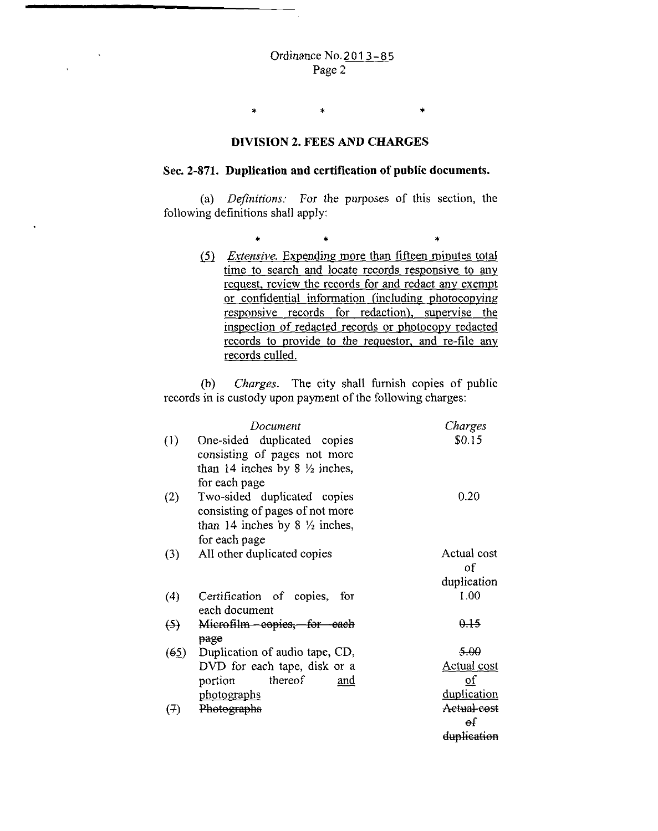## **DIVISION 2. FEES AND CHARGES**

\* •

\*

### **Sec. 2-871. Duplication and certification of public documents.**

(a) *Definitions:* For the purposes of this section, the following definitions shall apply:

> $\begin{array}{ccc} \ast & \ast & \ast \end{array}$ (5) *Extensive.* Expending more than fifteen minutes total time to search and locate records responsive to any request, review the records for and redact any exempt or confidential information (including photocopying responsive records for redaction), supervise the inspection of redacted records or photocopy redacted records to provide to the requestor, and re-file any records culled.

(b) *Charges.* The city shall furnish copies of public records in is custody upon payment of the following charges:

|                  | Document                                                       | Charges                   |
|------------------|----------------------------------------------------------------|---------------------------|
| $\left(1\right)$ | One-sided duplicated copies<br>consisting of pages not more    | \$0.15                    |
|                  | than 14 inches by 8 $\frac{1}{2}$ inches,<br>for each page     |                           |
| (2)              | Two-sided duplicated copies<br>consisting of pages of not more | 0.20                      |
|                  | than 14 inches by 8 $\frac{1}{2}$ inches,<br>for each page     |                           |
| (3)              | All other duplicated copies                                    | Actual cost<br>of         |
|                  |                                                                | duplication               |
| (4)              | Certification of copies,<br>for<br>each document               | 1.00                      |
| (5)              | Microfilm copies, for<br><del>-each</del><br>page              | 0.15                      |
| (65)             | Duplication of audio tape, CD,                                 | 5.00                      |
|                  | DVD for each tape, disk or a                                   | Actual cost               |
|                  | thereof<br>portion<br>and                                      | $\overline{\mathbf{0}}$ f |
|                  | <u>photographs</u>                                             | duplication               |
| (7)              | Photographs                                                    | Actual cost               |
|                  |                                                                | $\Theta$ f                |
|                  |                                                                | duplication               |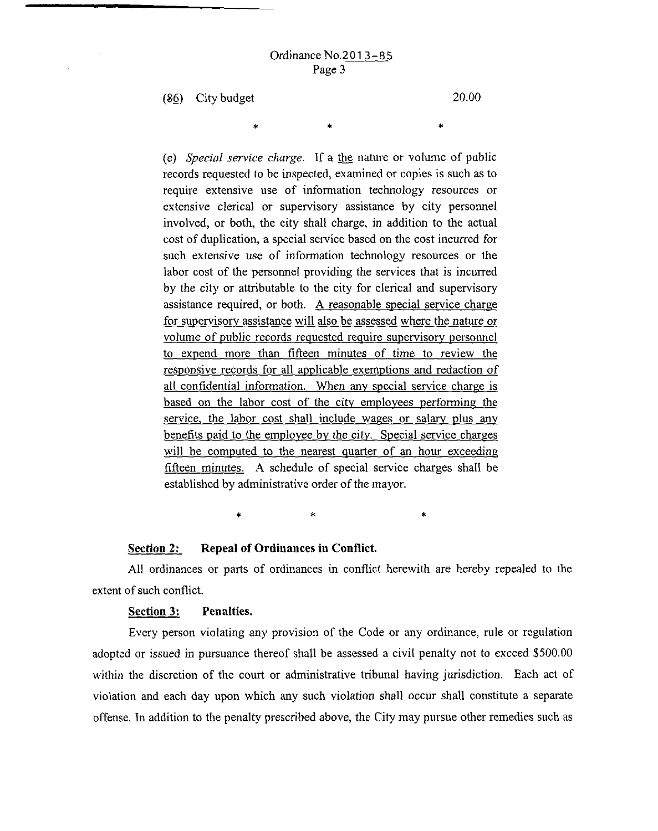•

(&§) City budget

\*

20.00

•

(e) *Special service charge.* If a the nature or volume of public records requested to be inspected, examined or copies is such as to require extensive use of information technology resources or extensive clerical or supervisory assistance by city personnel involved, or both, the city shall charge, in addition to the actual cost of duplication, a special service based on the cost incurred for such extensive use of information technology resources or the labor cost of the personnel providing the services that is incurred by the city or attributable to the city for clerical and supervisory assistance required, or both. A reasonable special service charge for supervisory assistance will also be assessed where the nature or volume of public records reguested reguire supervisory personnel to expend more than fifteen minutes of time to review the responsive records for all applicable exemptions and redaction of all confidential information. When any special service charge is based on the labor cost of the city employees performing the service, the labor cost shall include wages or salary plus any benefits paid to the employee by the city. Special service charges will be computed to the nearest quarter of an hour exceeding fifteen minutes. A schedule of special service charges shall be established by administrative order of the mayor.

\* \* •

### **Section 2: Repeal of Ordinances in Conflict.**

All ordinances or parts of ordinances in conflict herewith are hereby repealed to the extent of such conflict.

### **Section 3: Penalties.**

Every person violating any provision of the Code or any ordinance, rule or regulation adopted or issued in pursuance thereof shall be assessed a civil penalty not to exceed \$500.00 within the discretion of the court or administrative tribunal having jurisdiction. Each act of violation and each day upon which any such violation shall occur shall constitute a separate offense. In addition to the penalty prescribed above, the City may pursue other remedies such as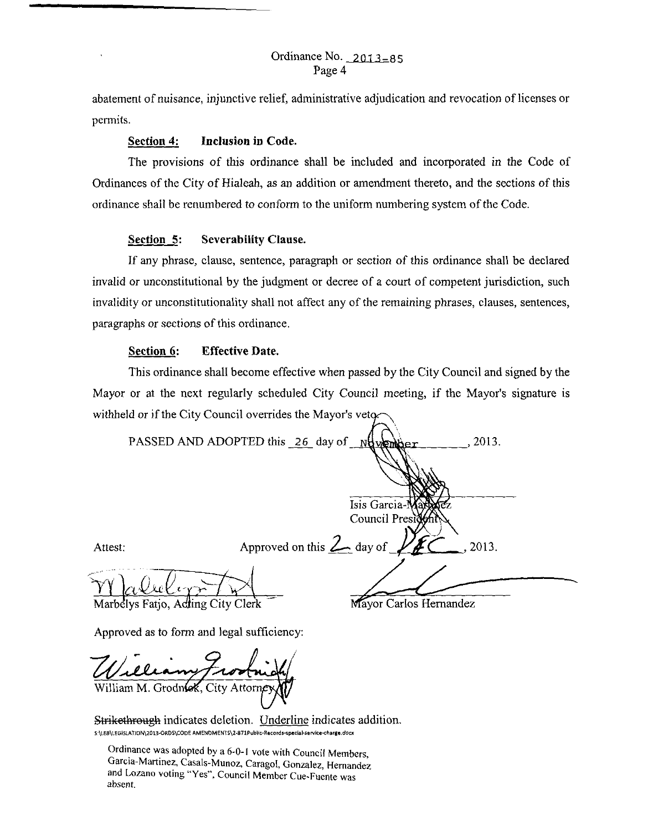abatement of nuisance, injunctive relief, administrative adjudication and revocation of licenses or permits.

### **Section 4: Inclusion in Code.**

The provisions of this ordinance shall be included and incorporated in the Code of Ordinances of the City of Hialeah, as an addition or amendment thereto, and the sections of this ordinance shall be renumbered to conform to the uniform numbering system of the Code.

### **Section 5: Severability Clause.**

If any phrase, clause, sentence, paragraph or section of this ordinance shall be declared invalid or unconstitutional by the judgment or decree of a court of competent jurisdiction, such invalidity or unconstitutionality shall not affect any of the remaining phrases, clauses, sentences, paragraphs or sections of this ordinance.

## **Section 6: Effective Date.**

This ordinance shall become effective when passed by the City Council and signed by the Mayor or at the next regularly scheduled City Council meeting, if the Mayor's signature is withheld or if the City Council overrides the Mayor's vetq.

|         | PASSED AND ADOPTED this 26 day of Number<br>2013.          |  |
|---------|------------------------------------------------------------|--|
|         |                                                            |  |
|         |                                                            |  |
|         | Isis Garcia-Mariatez<br>Council President                  |  |
|         |                                                            |  |
| Attest: | Approved on this $2$ day of<br>2013.                       |  |
|         |                                                            |  |
|         | Marholys Cotion Adding City Clark<br>Mayor Carlos Hemandez |  |

Marbelys Fatjo, Adling City Clerk

Approved as to form and legal sufficiency:

William M. Grodnok, City Attorney

Strikethrough indicates deletion. Underline indicates addition. S:\LEB\LEGISLATJON\2013-ORDS\CODE AMENDMENTS\2-871Public-Records-special-service-charge.docx

Ordinance was adopted by a 6-0-1 vote with Council Members Garcia-Martinez, Casals-Munoz, Caragol, Gonzalez, Hernandez and Lozano voting "Yes", Council Member Cue-Fuente was absent.

Mayor Carlos Hernandez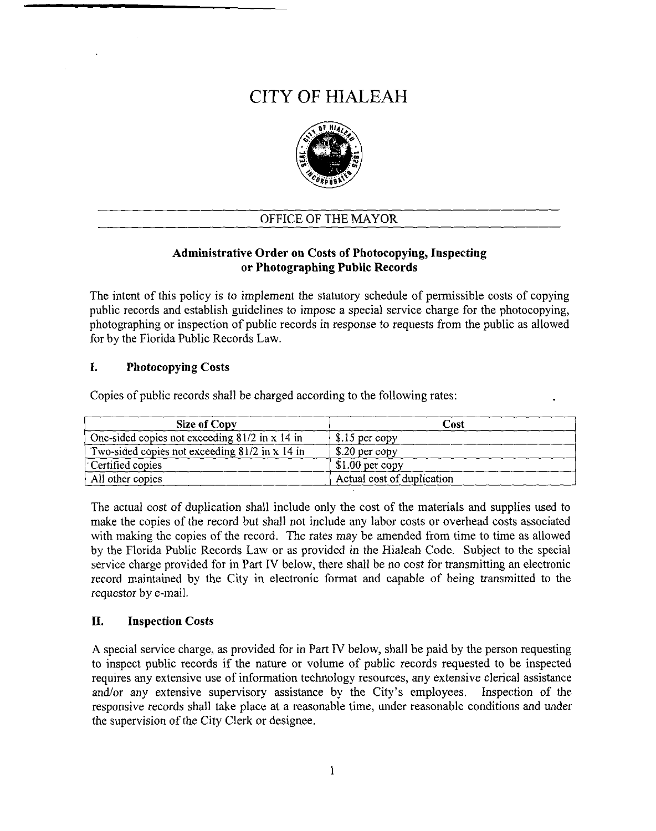# CITY OF HIALEAH



# OFFICE OF THE MAYOR

# Administrative Order on Costs of Photocopying, Inspecting or Photographing Public Records

The intent of this policy is to implement the statutory schedule of permissible costs of copying public records and establish guidelines to impose a special service charge for the photocopying, photographing or inspection of public records in response to requests from the public as allowed for by the Florida Public Records Law.

# I. Photocopying Costs

 $\mathcal{L}$ 

Copies of public records shall be charged according to the following rates:

| Size of Copy                                     | Cost                         |
|--------------------------------------------------|------------------------------|
| One-sided copies not exceeding $81/2$ in x 14 in | $$.15$ per copy              |
| Two-sided copies not exceeding 81/2 in x 14 in   | $\frac{1}{2}$ \$.20 per copy |
| Certified copies                                 | $$1.00$ per copy             |
| All other copies                                 | Actual cost of duplication   |

The actual cost of duplication shall include only the cost of the materials and supplies used to make the copies of the record but shall not include any labor costs or overhead costs associated with making the copies of the record. The rates may be amended from time to time as allowed by the Florida Public Records Law or as provided in the Hialeah Code. Subject to the special service charge provided for in Part IV below, there shall be no cost for transmitting an electronic record maintained by the City in electronic format and capable of being transmitted to the requestor by e-mail.

# II. Inspection Costs

A special service charge, as provided for in Part IV below, shall be paid by the person requesting to inspect public records if the nature or volume of public records requested to be inspected requires any extensive use of information technology resources, any extensive clerical assistance and/or any extensive supervisory assistance by the City's employees. Inspection of the responsive records shall take place at a reasonable time, under reasonable conditions and under the supervision of the City Clerk or designee.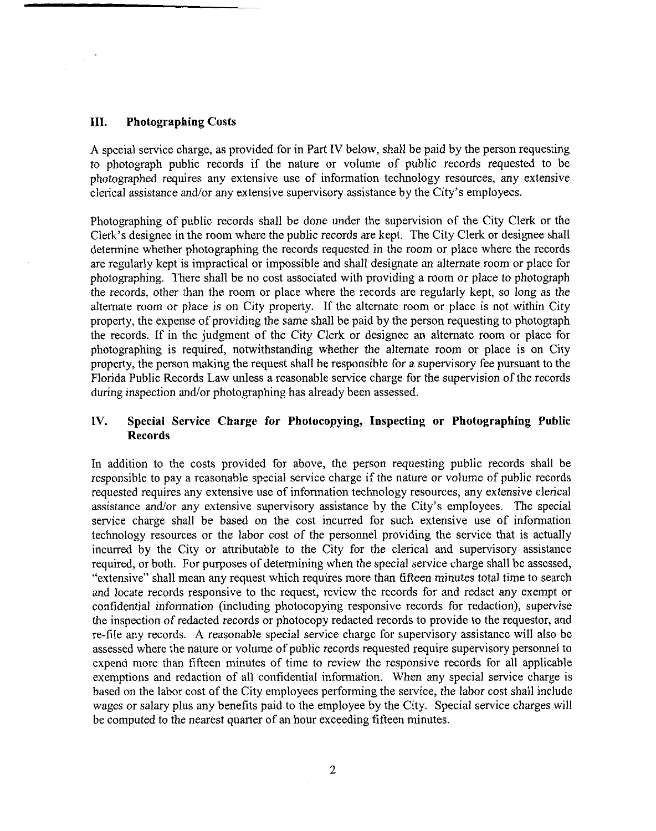### **III. Photographing Costs**

A special service charge, as provided for in Part IV below, shall be paid by the person requesting to photograph public records if the nature or volume of public records requested to be photographed requires any extensive use of information technology resources, any extensive clerical assistance and/or any extensive supervisory assistance by the City's employees.

Photographing of public records shall be done under the supervision of the City Clerk or the Clerk's designee in the room where the public records are kept. The City Clerk or designee shall determine whether photographing the records requested in the room or place where the records are regularly kept is impractical or impossible and shall designate an alternate room or place for photographing. There shall be no cost associated with providing a room or place to photograph the records, other than the room or place where the records are regularly kept, so long as the alternate room or place is on City property. If the alternate room or place is not within City property, the expense of providing the same shall be paid by the person requesting to photograph the records. If in the judgment of the City Clerk or designee an alternate room or place for photographing is required, notwithstanding whether the alternate room or place is on City property, the person making the request shall be responsible for a supervisory fee pursuant to the Florida Public Records Law unless a reasonable service charge for the supervision of the records during inspection and/or photographing has already been assessed.

## **IV. Special Service Charge for Photocopying, Inspecting or Photographing Public Records**

In addition to the costs provided for above, the person requesting public records shall be responsible to pay a reasonable special service charge if the nature or volume of public records requested requires any extensive use of information technology resources, any extensive clerical assistance and/or any extensive supervisory assistance by the City's employees. The special service charge shall be based on the cost incurred for such extensive use of information technology resources or the labor cost of the personnel providing the service that is actually incurred by the City or attributable to the City for the clerical and supervisory assistance required, or both. For purposes of determining when the special service charge shall be assessed, "extensive" shall mean any request which requires more than fifteen minutes total time to search and locate records responsive to the request, review the records for and redact any exempt or confidential information (including photocopying responsive records for redaction), supervise the inspection of redacted records or photocopy redacted records to provide to the requestor, and re-file any records. A reasonable special service charge for supervisory assistance will also be assessed where the nature or volume of public records requested require supervisory personnel to expend more than fifteen minutes of time to review the responsive records for all applicable exemptions and redaction of all confidential information. When any special service charge is based on the labor cost of the City employees performing the service, the labor cost shall include wages or salary plus any benefits paid to the employee by the City. Special service charges will be computed to the nearest quarter of an hour exceeding fifteen minutes.